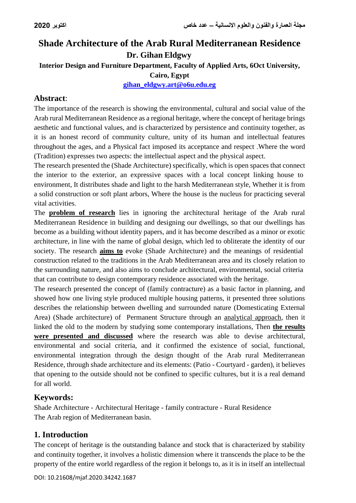# **Shade Architecture of the Arab Rural Mediterranean Residence Dr. Gihan Eldgwy Interior Design and Furniture Department, Faculty of Applied Arts, 6Oct University, Cairo, Egypt [gihan\\_eldgwy.art@o6u.edu.eg](mailto:gihan_eldgwy.art@o6u.edu.eg)**

### **Abstract**:

The importance of the research is showing the environmental, cultural and social value of the Arab rural Mediterranean Residence as a regional heritage, where the concept of heritage brings aesthetic and functional values, and is characterized by persistence and continuity together, as it is an honest record of community culture, unity of its human and intellectual features throughout the ages, and a Physical fact imposed its acceptance and respect .Where the word (Tradition) expresses two aspects: the intellectual aspect and the physical aspect.

The research presented the (Shade Architecture) specifically, which is open spaces that connect the interior to the exterior, an expressive spaces with a local concept linking house to environment, It distributes shade and light to the harsh Mediterranean style, Whether it is from a solid construction or soft plant arbors, Where the house is the nucleus for practicing several vital activities.

The **problem of research** lies in ignoring the architectural heritage of the Arab rural Mediterranean Residence in building and designing our dwellings, so that our dwellings has become as a building without identity papers, and it has become described as a minor or exotic architecture, in line with the name of global design, which led to obliterate the identity of our society. The research **aims to** evoke (Shade Architecture) and the meanings of residential construction related to the traditions in the Arab Mediterranean area and its closely relation to the surrounding nature, and also aims to conclude architectural, environmental, social criteria that can contribute to design contemporary residence associated with the heritage.

The research presented the concept of (family contracture) as a basic factor in planning, and showed how one living style produced multiple housing patterns, it presented three solutions describes the relationship between dwelling and surrounded nature (Domesticating External Area) (Shade architecture) of Permanent Structure through an analytical approach, then it linked the old to the modern by studying some contemporary installations, Then **the results were presented and discussed** where the research was able to devise architectural, environmental and social criteria, and it confirmed the existence of social, functional, environmental integration through the design thought of the Arab rural Mediterranean Residence, through shade architecture and its elements: (Patio - Courtyard - garden), it believes that opening to the outside should not be confined to specific cultures, but it is a real demand for all world.

### **Keywords:**

Shade Architecture - Architectural Heritage - family contracture - Rural Residence The Arab region of Mediterranean basin.

## **1. Introduction**

The concept of heritage is the outstanding balance and stock that is characterized by stability and continuity together, it involves a holistic dimension where it transcends the place to be the property of the entire world regardless of the region it belongs to, as it is in itself an intellectual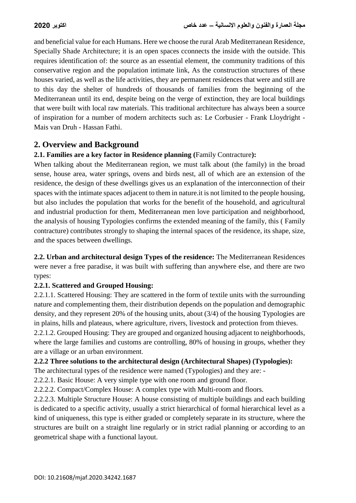and beneficial value for each Humans. Here we choose the rural Arab Mediterranean Residence, Specially Shade Architecture; it is an open spaces cconnects the inside with the outside. This requires identification of: the source as an essential element, the community traditions of this conservative region and the population intimate link, As the construction structures of these houses varied, as well as the life activities, they are permanent residences that were and still are to this day the shelter of hundreds of thousands of families from the beginning of the Mediterranean until its end, despite being on the verge of extinction, they are local buildings that were built with local raw materials. This traditional architecture has always been a source of inspiration for a number of modern architects such as: Le Corbusier - Frank Lloydright - Mais van Druh - Hassan Fathi.

### **2. Overview and Background**

### **2.1. Families are a key factor in Residence planning (**Family Contracture**):**

When talking about the Mediterranean region, we must talk about (the family) in the broad sense, house area, water springs, ovens and birds nest, all of which are an extension of the residence, the design of these dwellings gives us an explanation of the interconnection of their spaces with the intimate spaces adjacent to them in nature.it is not limited to the people housing, but also includes the population that works for the benefit of the household, and agricultural and industrial production for them, Mediterranean men love participation and neighborhood, the analysis of housing Typologies confirms the extended meaning of the family, this ( Family contracture) contributes strongly to shaping the internal spaces of the residence, its shape, size, and the spaces between dwellings.

**2.2. Urban and architectural design Types of the residence:** The Mediterranean Residences were never a free paradise, it was built with suffering than anywhere else, and there are two types:

### **2.2.1. Scattered and Grouped Housing:**

2.2.1.1. Scattered Housing: They are scattered in the form of textile units with the surrounding nature and complementing them, their distribution depends on the population and demographic density, and they represent 20% of the housing units, about (3/4) of the housing Typologies are in plains, hills and plateaus, where agriculture, rivers, livestock and protection from thieves. 2.2.1.2. Grouped Housing: They are grouped and organized housing adjacent to neighborhoods, where the large families and customs are controlling, 80% of housing in groups, whether they are a village or an urban environment.

### **2.2.2 Three solutions to the architectural design (Architectural Shapes) (Typologies):**

The architectural types of the residence were named (Typologies) and they are: -

2.2.2.1. Basic House: A very simple type with one room and ground floor.

2.2.2.2. Compact/Complex House: A complex type with Multi-room and floors.

2.2.2.3. Multiple Structure House: A house consisting of multiple buildings and each building is dedicated to a specific activity, usually a strict hierarchical of formal hierarchical level as a kind of uniqueness, this type is either graded or completely separate in its structure, where the structures are built on a straight line regularly or in strict radial planning or according to an geometrical shape with a functional layout.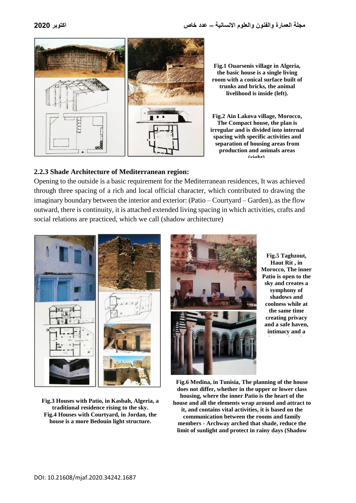

**Fig.1 Ouarsenis village in Algeria, the basic house is a single living room with a conical surface built of trunks and bricks, the animal livelihood is inside (left).**

**Fig.2 Ain Lakova village, Morocco, The Compact house, the plan is irregular and is divided into internal spacing with specific activities and separation of housing areas from production and animals areas (right).**

#### **2.2.3 Shade Architecture of Mediterranean region:**

Opening to the outside is a basic requirement for the Mediterranean residences, It was achieved through three spacing of a rich and local official character, which contributed to drawing the imaginary boundary between the interior and exterior: (Patio – Courtyard – Garden), as the flow outward, there is continuity, it is attached extended living spacing in which activities, crafts and social relations are practiced, which we call (shadow architecture)



**Fig.3 Houses with Patio, in Kasbah, Algeria, a traditional residence rising to the sky. Fig.4 Houses with Courtyard, in Jordan, the house is a more Bedouin light structure.**



**Fig.5 Taghzout, Haut Rit , in Morocco, The inner Patio is open to the sky and creates a symphony of shadows and coolness while at the same time creating privacy and a safe haven, intimacy and a** 

**Fig.6 Medina, in Tunisia, The planning of the house does not differ, whether in the upper or lower class housing, where the inner Patio is the heart of the house and all the elements wrap around and attract to it, and contains vital activities, it is based on the communication between the rooms and family members - Archway arched that shade, reduce the limit of sunlight and protect in rainy days (Shadow**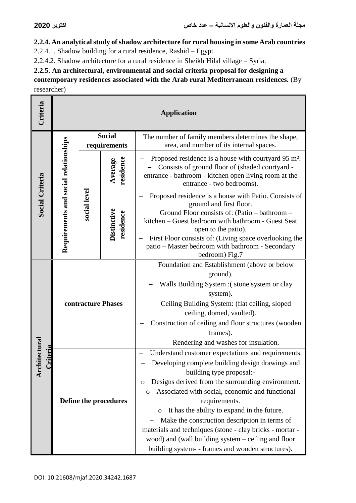**2.2.4. An analytical study of shadow architecture for rural housing in some Arab countries**

2.2.4.1. Shadow building for a rural residence, Rashid – Egypt.

2.2.4.2. Shadow architecture for a rural residence in Sheikh Hilal village – Syria.

**2.2.5. An architectural, environmental and social criteria proposal for designing a** 

**contemporary residences associated with the Arab rural Mediterranean residences.** (By researcher)

| Criteria        | <b>Application</b>                    |                               |                                 |                                                                                                                                                                                                                                                                                                                                                                                                                                                                                                                                                          |  |
|-----------------|---------------------------------------|-------------------------------|---------------------------------|----------------------------------------------------------------------------------------------------------------------------------------------------------------------------------------------------------------------------------------------------------------------------------------------------------------------------------------------------------------------------------------------------------------------------------------------------------------------------------------------------------------------------------------------------------|--|
| Social Criteria |                                       | <b>Social</b><br>requirements |                                 | The number of family members determines the shape,<br>area, and number of its internal spaces.                                                                                                                                                                                                                                                                                                                                                                                                                                                           |  |
|                 | Requirements and social relationships | social level                  | residence<br>Average            | Proposed residence is a house with courtyard 95 m <sup>2</sup> .<br>Consists of ground floor of (shaded courtyard -<br>entrance - bathroom - kitchen open living room at the<br>entrance - two bedrooms).                                                                                                                                                                                                                                                                                                                                                |  |
|                 |                                       |                               | <b>Distinctive</b><br>residence | Proposed residence is a house with Patio. Consists of<br>ground and first floor.<br>Ground Floor consists of: (Patio – bathroom –<br>kitchen – Guest bedroom with bathroom - Guest Seat<br>open to the patio).<br>First Floor consists of: (Living space overlooking the<br>patio - Master bedroom with bathroom - Secondary<br>bedroom) Fig.7                                                                                                                                                                                                           |  |
|                 | contracture Phases                    |                               |                                 | Foundation and Establishment (above or below<br>ground).<br>Walls Building System : (stone system or clay<br>system).<br>Ceiling Building System: (flat ceiling, sloped<br>ceiling, domed, vaulted).<br>Construction of ceiling and floor structures (wooden<br>frames).<br>Rendering and washes for insulation.                                                                                                                                                                                                                                         |  |
| iitectural      | Define the procedures                 |                               |                                 | Understand customer expectations and requirements.<br>Developing complete building design drawings and<br>building type proposal:-<br>Designs derived from the surrounding environment.<br>O<br>Associated with social, economic and functional<br>O<br>requirements.<br>It has the ability to expand in the future.<br>$\circ$<br>Make the construction description in terms of<br>materials and techniques (stone - clay bricks - mortar -<br>wood) and (wall building system - ceiling and floor<br>building system- - frames and wooden structures). |  |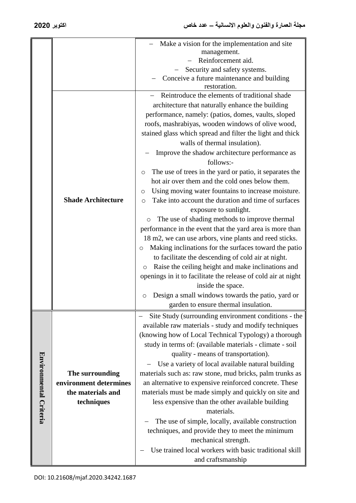|                        |                           | Make a vision for the implementation and site                  |
|------------------------|---------------------------|----------------------------------------------------------------|
|                        |                           | management.<br>Reinforcement aid.                              |
|                        |                           | Security and safety systems.                                   |
|                        |                           | Conceive a future maintenance and building                     |
|                        |                           | restoration.                                                   |
|                        |                           | Reintroduce the elements of traditional shade                  |
|                        |                           | architecture that naturally enhance the building               |
|                        |                           |                                                                |
|                        |                           | performance, namely: (patios, domes, vaults, sloped            |
|                        |                           | roofs, mashrabiyas, wooden windows of olive wood,              |
|                        |                           | stained glass which spread and filter the light and thick      |
|                        |                           | walls of thermal insulation).                                  |
|                        |                           | Improve the shadow architecture performance as                 |
|                        |                           | follows:-                                                      |
|                        |                           | The use of trees in the yard or patio, it separates the<br>O   |
|                        |                           | hot air over them and the cold ones below them.                |
|                        |                           | Using moving water fountains to increase moisture.<br>O        |
|                        | <b>Shade Architecture</b> | Take into account the duration and time of surfaces<br>$\circ$ |
|                        |                           | exposure to sunlight.                                          |
|                        |                           | The use of shading methods to improve thermal<br>O             |
|                        |                           | performance in the event that the yard area is more than       |
|                        |                           | 18 m2, we can use arbors, vine plants and reed sticks.         |
|                        |                           | Making inclinations for the surfaces toward the patio<br>O     |
|                        |                           | to facilitate the descending of cold air at night.             |
|                        |                           | Raise the ceiling height and make inclinations and<br>O        |
|                        |                           | openings in it to facilitate the release of cold air at night  |
|                        |                           | inside the space.                                              |
|                        |                           | Design a small windows towards the patio, yard or              |
|                        |                           | O                                                              |
|                        |                           | garden to ensure thermal insulation.                           |
|                        |                           | Site Study (surrounding environment conditions - the           |
|                        |                           | available raw materials - study and modify techniques          |
|                        |                           | (knowing how of Local Technical Typology) a thorough           |
|                        |                           | study in terms of: (available materials - climate - soil       |
|                        |                           | quality - means of transportation).                            |
|                        |                           | Use a variety of local available natural building              |
|                        | The surrounding           | materials such as: raw stone, mud bricks, palm trunks as       |
|                        | environment determines    | an alternative to expensive reinforced concrete. These         |
|                        | the materials and         | materials must be made simply and quickly on site and          |
|                        | techniques                | less expensive than the other available building               |
| Environmental Criteria |                           | materials.                                                     |
|                        |                           | The use of simple, locally, available construction             |
|                        |                           | techniques, and provide they to meet the minimum               |
|                        |                           | mechanical strength.                                           |
|                        |                           | Use trained local workers with basic traditional skill         |
|                        |                           |                                                                |
|                        |                           | and craftsmanship                                              |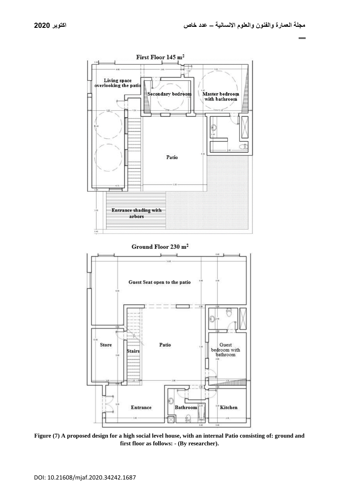

**Figure (7) A proposed design for a high social level house, with an internal Patio consisting of: ground and first floor as follows: - (By researcher).**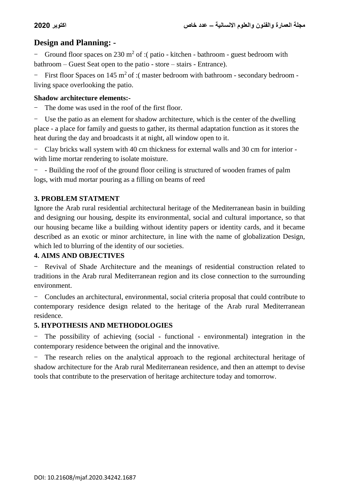### **Design and Planning: -**

- Ground floor spaces on 230 m<sup>2</sup> of :( patio - kitchen - bathroom - guest bedroom with bathroom – Guest Seat open to the patio - store – stairs - Entrance).

- First floor Spaces on 145 m<sup>2</sup> of :( master bedroom with bathroom - secondary bedroom living space overlooking the patio.

#### **Shadow architecture elements:-**

The dome was used in the roof of the first floor.

- Use the patio as an element for shadow architecture, which is the center of the dwelling place - a place for family and guests to gather, its thermal adaptation function as it stores the heat during the day and broadcasts it at night, all window open to it.

- Clay bricks wall system with 40 cm thickness for external walls and 30 cm for interior with lime mortar rendering to isolate moisture.

- - Building the roof of the ground floor ceiling is structured of wooden frames of palm logs, with mud mortar pouring as a filling on beams of reed

### **3. PROBLEM STATMENT**

Ignore the Arab rural residential architectural heritage of the Mediterranean basin in building and designing our housing, despite its environmental, social and cultural importance, so that our housing became like a building without identity papers or identity cards, and it became described as an exotic or minor architecture, in line with the name of globalization Design, which led to blurring of the identity of our societies.

### **4. AIMS AND OBJECTIVES**

- Revival of Shade Architecture and the meanings of residential construction related to traditions in the Arab rural Mediterranean region and its close connection to the surrounding environment.

- Concludes an architectural, environmental, social criteria proposal that could contribute to contemporary residence design related to the heritage of the Arab rural Mediterranean residence.

### **5. HYPOTHESIS AND METHODOLOGIES**

- The possibility of achieving (social - functional - environmental) integration in the contemporary residence between the original and the innovative.

- The research relies on the analytical approach to the regional architectural heritage of shadow architecture for the Arab rural Mediterranean residence, and then an attempt to devise tools that contribute to the preservation of heritage architecture today and tomorrow.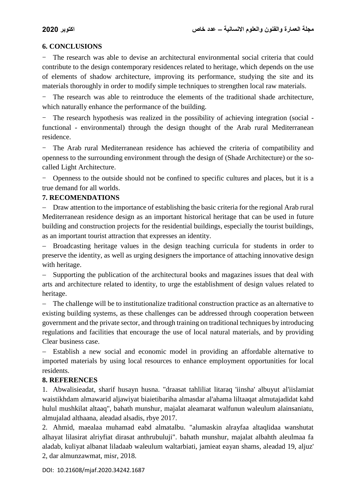#### **6. CONCLUSIONS**

The research was able to devise an architectural environmental social criteria that could contribute to the design contemporary residences related to heritage, which depends on the use of elements of shadow architecture, improving its performance, studying the site and its materials thoroughly in order to modify simple techniques to strengthen local raw materials.

The research was able to reintroduce the elements of the traditional shade architecture. which naturally enhance the performance of the building.

The research hypothesis was realized in the possibility of achieving integration (social functional - environmental) through the design thought of the Arab rural Mediterranean residence.

- The Arab rural Mediterranean residence has achieved the criteria of compatibility and openness to the surrounding environment through the design of (Shade Architecture) or the socalled Light Architecture.

- Openness to the outside should not be confined to specific cultures and places, but it is a true demand for all worlds.

#### **7. RECOMENDATIONS**

 Draw attention to the importance of establishing the basic criteria for the regional Arab rural Mediterranean residence design as an important historical heritage that can be used in future building and construction projects for the residential buildings, especially the tourist buildings, as an important tourist attraction that expresses an identity.

- Broadcasting heritage values in the design teaching curricula for students in order to preserve the identity, as well as urging designers the importance of attaching innovative design with heritage.

- Supporting the publication of the architectural books and magazines issues that deal with arts and architecture related to identity, to urge the establishment of design values related to heritage.

 The challenge will be to institutionalize traditional construction practice as an alternative to existing building systems, as these challenges can be addressed through cooperation between government and the private sector, and through training on traditional techniques by introducing regulations and facilities that encourage the use of local natural materials, and by providing Clear business case.

 Establish a new social and economic model in providing an affordable alternative to imported materials by using local resources to enhance employment opportunities for local residents.

#### **8. REFERENCES**

1. Abwalisieadat, sharif husayn husna. "draasat tahliliat litaraq 'iinsha' albuyut al'iislamiat waistikhdam almawarid aljawiyat biaietibariha almasdar al'ahama liltaaqat almutajadidat kahd hulul mushkilat altaaq", bahath munshur, majalat aleamarat walfunun waleulum alainsaniatu, almujalad althaana, aleadad alsadis, rbye 2017.

2. Ahmid, maealaa muhamad eabd almatalbu. "alumaskin alrayfaa altaqlidaa wanshutat alhayat lilasirat alriyfiat dirasat anthrubuluji". bahath munshur, majalat albahth aleulmaa fa aladab, kuliyat albanat liladaab waleulum waltarbiati, jamieat eayan shams, aleadad 19, aljuz' 2, dar almunzawmat, misr, 2018.